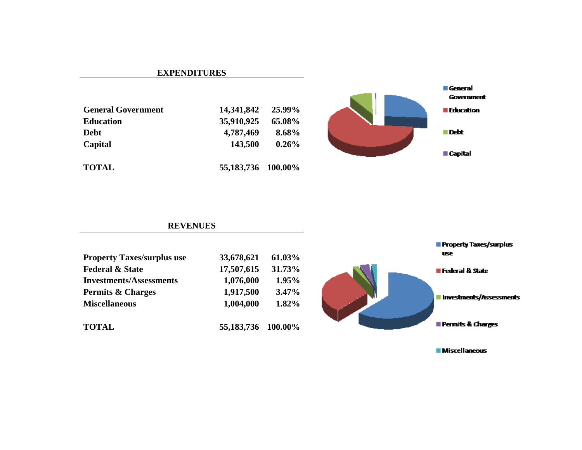#### **EXPENDITURES**

| <b>General Government</b> | 14,341,842         | 25.99%   |
|---------------------------|--------------------|----------|
| <b>Education</b>          | 35,910,925         | 65.08%   |
| <b>Debt</b>               | 4,787,469          | 8.68%    |
| Capital                   | 143,500            | $0.26\%$ |
| <b>TOTAL</b>              | 55,183,736 100.00% |          |



#### **REVENUES**

| <b>Property Taxes/surplus use</b> | 33,678,621         | 61.03% |
|-----------------------------------|--------------------|--------|
| <b>Federal &amp; State</b>        | 17,507,615         | 31.73% |
| <b>Investments/Assessments</b>    | 1,076,000          | 1.95%  |
| <b>Permits &amp; Charges</b>      | 1,917,500          | 3.47%  |
| <b>Miscellaneous</b>              | 1,004,000          | 1.82%  |
| <b>TOTAL</b>                      | 55,183,736 100.00% |        |



**Miscellaneous** 

Property Taxes/surplus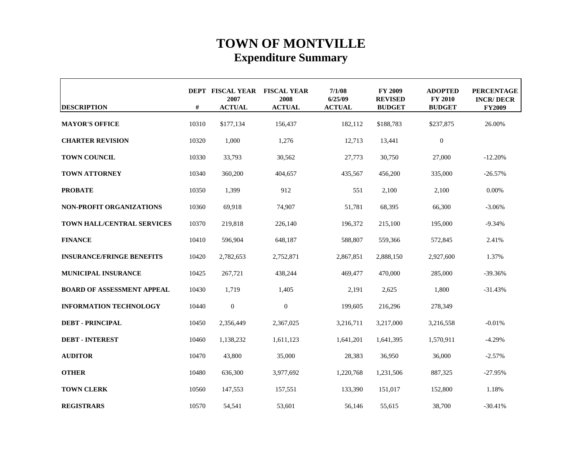## **TOWN OF MONTVILLE Expenditure Summary**

| <b>DESCRIPTION</b>                | #     | <b>DEPT FISCAL YEAR</b><br>2007<br><b>ACTUAL</b> | <b>FISCAL YEAR</b><br>2008<br><b>ACTUAL</b> | 7/1/08<br>6/25/09<br><b>ACTUAL</b> | <b>FY 2009</b><br><b>REVISED</b><br><b>BUDGET</b> | <b>ADOPTED</b><br><b>FY 2010</b><br><b>BUDGET</b> | <b>PERCENTAGE</b><br><b>INCR/DECR</b><br><b>FY2009</b> |
|-----------------------------------|-------|--------------------------------------------------|---------------------------------------------|------------------------------------|---------------------------------------------------|---------------------------------------------------|--------------------------------------------------------|
| <b>MAYOR'S OFFICE</b>             | 10310 | \$177,134                                        | 156,437                                     | 182,112                            | \$188,783                                         | \$237,875                                         | 26.00%                                                 |
| <b>CHARTER REVISION</b>           | 10320 | 1,000                                            | 1,276                                       | 12,713                             | 13,441                                            | $\boldsymbol{0}$                                  |                                                        |
| <b>TOWN COUNCIL</b>               | 10330 | 33,793                                           | 30,562                                      | 27,773                             | 30,750                                            | 27,000                                            | $-12.20%$                                              |
| <b>TOWN ATTORNEY</b>              | 10340 | 360,200                                          | 404,657                                     | 435,567                            | 456,200                                           | 335,000                                           | $-26.57%$                                              |
| <b>PROBATE</b>                    | 10350 | 1.399                                            | 912                                         | 551                                | 2,100                                             | 2,100                                             | $0.00\%$                                               |
| <b>NON-PROFIT ORGANIZATIONS</b>   | 10360 | 69,918                                           | 74,907                                      | 51,781                             | 68,395                                            | 66,300                                            | $-3.06%$                                               |
| TOWN HALL/CENTRAL SERVICES        | 10370 | 219,818                                          | 226,140                                     | 196,372                            | 215,100                                           | 195,000                                           | $-9.34%$                                               |
| <b>FINANCE</b>                    | 10410 | 596,904                                          | 648,187                                     | 588,807                            | 559,366                                           | 572,845                                           | 2.41%                                                  |
| <b>INSURANCE/FRINGE BENEFITS</b>  | 10420 | 2,782,653                                        | 2,752,871                                   | 2,867,851                          | 2,888,150                                         | 2,927,600                                         | 1.37%                                                  |
| <b>MUNICIPAL INSURANCE</b>        | 10425 | 267,721                                          | 438,244                                     | 469,477                            | 470,000                                           | 285,000                                           | $-39.36%$                                              |
| <b>BOARD OF ASSESSMENT APPEAL</b> | 10430 | 1,719                                            | 1,405                                       | 2,191                              | 2,625                                             | 1,800                                             | $-31.43%$                                              |
| <b>INFORMATION TECHNOLOGY</b>     | 10440 | $\overline{0}$                                   | $\overline{0}$                              | 199,605                            | 216,296                                           | 278,349                                           |                                                        |
| <b>DEBT - PRINCIPAL</b>           | 10450 | 2,356,449                                        | 2,367,025                                   | 3,216,711                          | 3,217,000                                         | 3,216,558                                         | $-0.01%$                                               |
| <b>DEBT - INTEREST</b>            | 10460 | 1,138,232                                        | 1,611,123                                   | 1,641,201                          | 1,641,395                                         | 1,570,911                                         | $-4.29%$                                               |
| <b>AUDITOR</b>                    | 10470 | 43,800                                           | 35,000                                      | 28,383                             | 36,950                                            | 36,000                                            | $-2.57%$                                               |
| <b>OTHER</b>                      | 10480 | 636,300                                          | 3,977,692                                   | 1,220,768                          | 1,231,506                                         | 887,325                                           | $-27.95%$                                              |
| <b>TOWN CLERK</b>                 | 10560 | 147,553                                          | 157,551                                     | 133,390                            | 151,017                                           | 152,800                                           | 1.18%                                                  |
| <b>REGISTRARS</b>                 | 10570 | 54,541                                           | 53,601                                      | 56,146                             | 55,615                                            | 38,700                                            | $-30.41%$                                              |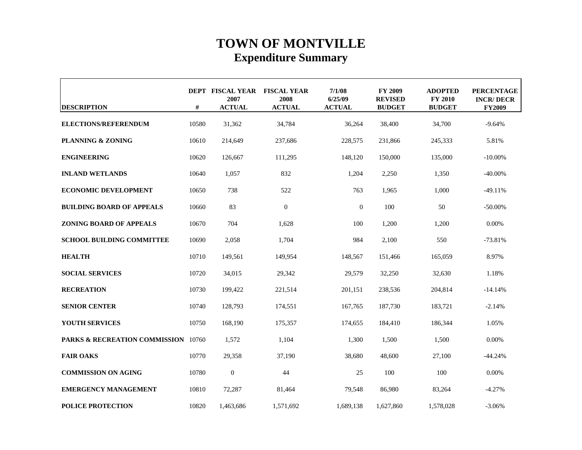## **TOWN OF MONTVILLE Expenditure Summary**

| <b>DESCRIPTION</b>                             | #     | DEPT FISCAL YEAR FISCAL YEAR<br>2007<br><b>ACTUAL</b> | 2008<br><b>ACTUAL</b> | 7/1/08<br>6/25/09<br><b>ACTUAL</b> | <b>FY 2009</b><br><b>REVISED</b><br><b>BUDGET</b> | <b>ADOPTED</b><br><b>FY 2010</b><br><b>BUDGET</b> | <b>PERCENTAGE</b><br><b>INCR/DECR</b><br><b>FY2009</b> |
|------------------------------------------------|-------|-------------------------------------------------------|-----------------------|------------------------------------|---------------------------------------------------|---------------------------------------------------|--------------------------------------------------------|
| ELECTIONS/REFERENDUM                           | 10580 | 31,362                                                | 34,784                | 36,264                             | 38,400                                            | 34,700                                            | $-9.64%$                                               |
| <b>PLANNING &amp; ZONING</b>                   | 10610 | 214,649                                               | 237,686               | 228,575                            | 231,866                                           | 245,333                                           | 5.81%                                                  |
| <b>ENGINEERING</b>                             | 10620 | 126,667                                               | 111,295               | 148,120                            | 150,000                                           | 135,000                                           | $-10.00\%$                                             |
| <b>INLAND WETLANDS</b>                         | 10640 | 1,057                                                 | 832                   | 1,204                              | 2,250                                             | 1,350                                             | $-40.00\%$                                             |
| <b>ECONOMIC DEVELOPMENT</b>                    | 10650 | 738                                                   | 522                   | 763                                | 1.965                                             | 1.000                                             | $-49.11%$                                              |
| <b>BUILDING BOARD OF APPEALS</b>               | 10660 | 83                                                    | $\overline{0}$        | $\mathbf{0}$                       | 100                                               | 50                                                | $-50.00\%$                                             |
| <b>ZONING BOARD OF APPEALS</b>                 | 10670 | 704                                                   | 1,628                 | 100                                | 1,200                                             | 1,200                                             | 0.00%                                                  |
| <b>SCHOOL BUILDING COMMITTEE</b>               | 10690 | 2,058                                                 | 1,704                 | 984                                | 2,100                                             | 550                                               | $-73.81%$                                              |
| <b>HEALTH</b>                                  | 10710 | 149,561                                               | 149,954               | 148,567                            | 151,466                                           | 165,059                                           | 8.97%                                                  |
| <b>SOCIAL SERVICES</b>                         | 10720 | 34,015                                                | 29,342                | 29,579                             | 32,250                                            | 32,630                                            | 1.18%                                                  |
| <b>RECREATION</b>                              | 10730 | 199,422                                               | 221,514               | 201,151                            | 238,536                                           | 204,814                                           | $-14.14%$                                              |
| <b>SENIOR CENTER</b>                           | 10740 | 128,793                                               | 174,551               | 167,765                            | 187,730                                           | 183,721                                           | $-2.14%$                                               |
| YOUTH SERVICES                                 | 10750 | 168,190                                               | 175,357               | 174,655                            | 184,410                                           | 186,344                                           | 1.05%                                                  |
| <b>PARKS &amp; RECREATION COMMISSION</b> 10760 |       | 1,572                                                 | 1,104                 | 1,300                              | 1,500                                             | 1,500                                             | 0.00%                                                  |
| <b>FAIR OAKS</b>                               | 10770 | 29.358                                                | 37.190                | 38.680                             | 48.600                                            | 27,100                                            | $-44.24%$                                              |
| <b>COMMISSION ON AGING</b>                     | 10780 | $\boldsymbol{0}$                                      | 44                    | 25                                 | 100                                               | 100                                               | 0.00%                                                  |
| <b>EMERGENCY MANAGEMENT</b>                    | 10810 | 72,287                                                | 81,464                | 79,548                             | 86,980                                            | 83,264                                            | $-4.27%$                                               |
| <b>POLICE PROTECTION</b>                       | 10820 | 1,463,686                                             | 1,571,692             | 1,689,138                          | 1,627,860                                         | 1,578,028                                         | $-3.06%$                                               |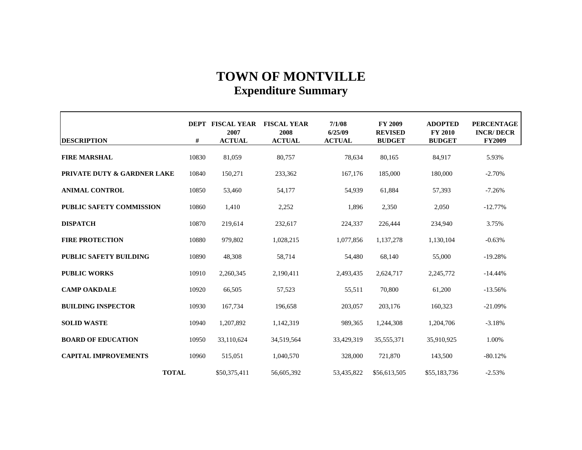### **TOWN OF MONTVILLE Expenditure Summary**

| <b>DESCRIPTION</b>              | #     | DEPT FISCAL YEAR<br>2007<br><b>ACTUAL</b> | <b>FISCAL YEAR</b><br>2008<br><b>ACTUAL</b> | 7/1/08<br>6/25/09<br><b>ACTUAL</b> | <b>FY 2009</b><br><b>REVISED</b><br><b>BUDGET</b> | <b>ADOPTED</b><br><b>FY 2010</b><br><b>BUDGET</b> | <b>PERCENTAGE</b><br><b>INCR/DECR</b><br><b>FY2009</b> |
|---------------------------------|-------|-------------------------------------------|---------------------------------------------|------------------------------------|---------------------------------------------------|---------------------------------------------------|--------------------------------------------------------|
| <b>FIRE MARSHAL</b>             | 10830 | 81,059                                    | 80,757                                      | 78,634                             | 80,165                                            | 84.917                                            | 5.93%                                                  |
| PRIVATE DUTY & GARDNER LAKE     | 10840 | 150,271                                   | 233,362                                     | 167,176                            | 185,000                                           | 180,000                                           | $-2.70%$                                               |
| <b>ANIMAL CONTROL</b>           | 10850 | 53,460                                    | 54,177                                      | 54,939                             | 61,884                                            | 57,393                                            | $-7.26%$                                               |
| <b>PUBLIC SAFETY COMMISSION</b> | 10860 | 1,410                                     | 2,252                                       | 1,896                              | 2,350                                             | 2,050                                             | $-12.77%$                                              |
| <b>DISPATCH</b>                 | 10870 | 219,614                                   | 232,617                                     | 224,337                            | 226,444                                           | 234,940                                           | 3.75%                                                  |
| <b>FIRE PROTECTION</b>          | 10880 | 979,802                                   | 1,028,215                                   | 1,077,856                          | 1,137,278                                         | 1,130,104                                         | $-0.63%$                                               |
| <b>PUBLIC SAFETY BUILDING</b>   | 10890 | 48.308                                    | 58,714                                      | 54,480                             | 68,140                                            | 55,000                                            | $-19.28%$                                              |
| <b>PUBLIC WORKS</b>             | 10910 | 2,260,345                                 | 2,190,411                                   | 2,493,435                          | 2,624,717                                         | 2,245,772                                         | $-14.44%$                                              |
| <b>CAMP OAKDALE</b>             | 10920 | 66,505                                    | 57,523                                      | 55,511                             | 70,800                                            | 61,200                                            | $-13.56%$                                              |
| <b>BUILDING INSPECTOR</b>       | 10930 | 167,734                                   | 196,658                                     | 203,057                            | 203,176                                           | 160,323                                           | $-21.09%$                                              |
| <b>SOLID WASTE</b>              | 10940 | 1,207,892                                 | 1,142,319                                   | 989,365                            | 1,244,308                                         | 1,204,706                                         | $-3.18%$                                               |
| <b>BOARD OF EDUCATION</b>       | 10950 | 33,110,624                                | 34,519,564                                  | 33,429,319                         | 35,555,371                                        | 35,910,925                                        | 1.00%                                                  |
| <b>CAPITAL IMPROVEMENTS</b>     | 10960 | 515,051                                   | 1,040,570                                   | 328,000                            | 721,870                                           | 143,500                                           | $-80.12%$                                              |
| <b>TOTAL</b>                    |       | \$50,375,411                              | 56,605,392                                  | 53,435,822                         | \$56,613,505                                      | \$55,183,736                                      | $-2.53%$                                               |